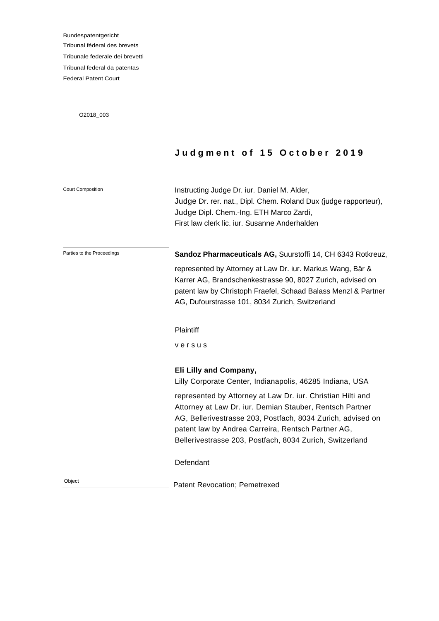Bundespatentgericht Tribunal féderal des brevets Tribunale federale dei brevetti Tribunal federal da patentas Federal Patent Court

O2018\_003

# **J u d g m e n t o f 1 5 O c t o b e r 2 0 1 9**

| <b>Court Composition</b>   | Instructing Judge Dr. iur. Daniel M. Alder,<br>Judge Dr. rer. nat., Dipl. Chem. Roland Dux (judge rapporteur),<br>Judge Dipl. Chem.-Ing. ETH Marco Zardi,<br>First law clerk lic. jur. Susanne Anderhalden                                                                                               |
|----------------------------|----------------------------------------------------------------------------------------------------------------------------------------------------------------------------------------------------------------------------------------------------------------------------------------------------------|
| Parties to the Proceedings | Sandoz Pharmaceuticals AG, Suurstoffi 14, CH 6343 Rotkreuz,                                                                                                                                                                                                                                              |
|                            | represented by Attorney at Law Dr. iur. Markus Wang, Bär &<br>Karrer AG, Brandschenkestrasse 90, 8027 Zurich, advised on<br>patent law by Christoph Fraefel, Schaad Balass Menzl & Partner<br>AG, Dufourstrasse 101, 8034 Zurich, Switzerland                                                            |
|                            | Plaintiff                                                                                                                                                                                                                                                                                                |
|                            | versus                                                                                                                                                                                                                                                                                                   |
|                            | Eli Lilly and Company,<br>Lilly Corporate Center, Indianapolis, 46285 Indiana, USA                                                                                                                                                                                                                       |
|                            | represented by Attorney at Law Dr. iur. Christian Hilti and<br>Attorney at Law Dr. iur. Demian Stauber, Rentsch Partner<br>AG, Bellerivestrasse 203, Postfach, 8034 Zurich, advised on<br>patent law by Andrea Carreira, Rentsch Partner AG,<br>Bellerivestrasse 203, Postfach, 8034 Zurich, Switzerland |
|                            | Defendant                                                                                                                                                                                                                                                                                                |
| Object                     | <b>Patent Revocation; Pemetrexed</b>                                                                                                                                                                                                                                                                     |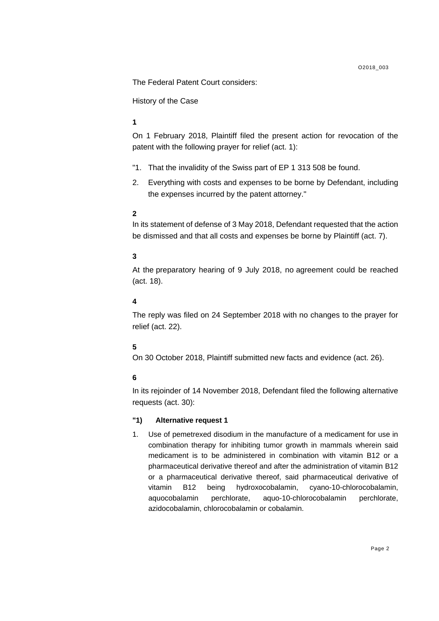The Federal Patent Court considers:

History of the Case

# **1.**

On 1 February 2018, Plaintiff filed the present action for revocation of the patent with the following prayer for relief (act. 1):

- "1. That the invalidity of the Swiss part of EP 1 313 508 be found.
- 2. Everything with costs and expenses to be borne by Defendant, including the expenses incurred by the patent attorney."

### **2.**

In its statement of defense of 3 May 2018, Defendant requested that the action be dismissed and that all costs and expenses be borne by Plaintiff (act. 7).

# **3.**

At the preparatory hearing of 9 July 2018, no agreement could be reached (act. 18).

### **4.**

The reply was filed on 24 September 2018 with no changes to the prayer for relief (act. 22).

### **5.**

On 30 October 2018, Plaintiff submitted new facts and evidence (act. 26).

### **6.**

In its rejoinder of 14 November 2018, Defendant filed the following alternative requests (act. 30):

### **"1) Alternative request 1**

1. Use of pemetrexed disodium in the manufacture of a medicament for use in combination therapy for inhibiting tumor growth in mammals wherein said medicament is to be administered in combination with vitamin B12 or a pharmaceutical derivative thereof and after the administration of vitamin B12 or a pharmaceutical derivative thereof, said pharmaceutical derivative of vitamin B12 being hydroxocobalamin, cyano-10-chlorocobalamin, aquocobalamin perchlorate, aquo-10-chlorocobalamin perchlorate, azidocobalamin, chlorocobalamin or cobalamin.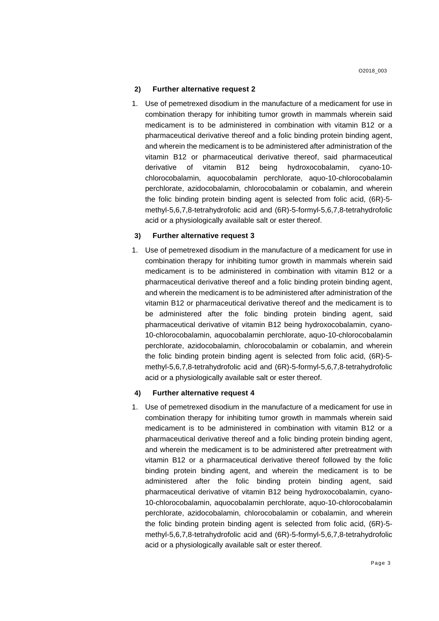1. Use of pemetrexed disodium in the manufacture of a medicament for use in combination therapy for inhibiting tumor growth in mammals wherein said medicament is to be administered in combination with vitamin B12 or a pharmaceutical derivative thereof and a folic binding protein binding agent, and wherein the medicament is to be administered after administration of the vitamin B12 or pharmaceutical derivative thereof, said pharmaceutical derivative of vitamin B12 being hydroxocobalamin, cyano-10 chlorocobalamin, aquocobalamin perchlorate, aquo-10-chlorocobalamin perchlorate, azidocobalamin, chlorocobalamin or cobalamin, and wherein the folic binding protein binding agent is selected from folic acid, (6R)-5 methyl-5,6,7,8-tetrahydrofolic acid and (6R)-5-formyl-5,6,7,8-tetrahydrofolic acid or a physiologically available salt or ester thereof.

#### **3) Further alternative request 3**

1. Use of pemetrexed disodium in the manufacture of a medicament for use in combination therapy for inhibiting tumor growth in mammals wherein said medicament is to be administered in combination with vitamin B12 or a pharmaceutical derivative thereof and a folic binding protein binding agent, and wherein the medicament is to be administered after administration of the vitamin B12 or pharmaceutical derivative thereof and the medicament is to be administered after the folic binding protein binding agent, said pharmaceutical derivative of vitamin B12 being hydroxocobalamin, cyano-10-chlorocobalamin, aquocobalamin perchlorate, aquo-10-chlorocobalamin perchlorate, azidocobalamin, chlorocobalamin or cobalamin, and wherein the folic binding protein binding agent is selected from folic acid, (6R)-5 methyl-5,6,7,8-tetrahydrofolic acid and (6R)-5-formyl-5,6,7,8-tetrahydrofolic acid or a physiologically available salt or ester thereof.

#### **4) Further alternative request 4**

1. Use of pemetrexed disodium in the manufacture of a medicament for use in combination therapy for inhibiting tumor growth in mammals wherein said medicament is to be administered in combination with vitamin B12 or a pharmaceutical derivative thereof and a folic binding protein binding agent, and wherein the medicament is to be administered after pretreatment with vitamin B12 or a pharmaceutical derivative thereof followed by the folic binding protein binding agent, and wherein the medicament is to be administered after the folic binding protein binding agent, said pharmaceutical derivative of vitamin B12 being hydroxocobalamin, cyano-10-chlorocobalamin, aquocobalamin perchlorate, aquo-10-chlorocobalamin perchlorate, azidocobalamin, chlorocobalamin or cobalamin, and wherein the folic binding protein binding agent is selected from folic acid, (6R)-5 methyl-5,6,7,8-tetrahydrofolic acid and (6R)-5-formyl-5,6,7,8-tetrahydrofolic acid or a physiologically available salt or ester thereof.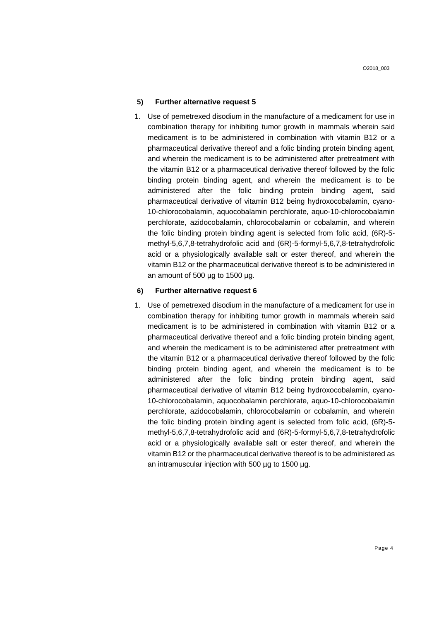1. Use of pemetrexed disodium in the manufacture of a medicament for use in combination therapy for inhibiting tumor growth in mammals wherein said medicament is to be administered in combination with vitamin B12 or a pharmaceutical derivative thereof and a folic binding protein binding agent, and wherein the medicament is to be administered after pretreatment with the vitamin B12 or a pharmaceutical derivative thereof followed by the folic binding protein binding agent, and wherein the medicament is to be administered after the folic binding protein binding agent, said pharmaceutical derivative of vitamin B12 being hydroxocobalamin, cyano-10-chlorocobalamin, aquocobalamin perchlorate, aquo-10-chlorocobalamin perchlorate, azidocobalamin, chlorocobalamin or cobalamin, and wherein the folic binding protein binding agent is selected from folic acid, (6R)-5 methyl-5,6,7,8-tetrahydrofolic acid and (6R)-5-formyl-5,6,7,8-tetrahydrofolic acid or a physiologically available salt or ester thereof, and wherein the vitamin B12 or the pharmaceutical derivative thereof is to be administered in an amount of 500 µg to 1500 µg.

#### **6) Further alternative request 6**

1. Use of pemetrexed disodium in the manufacture of a medicament for use in combination therapy for inhibiting tumor growth in mammals wherein said medicament is to be administered in combination with vitamin B12 or a pharmaceutical derivative thereof and a folic binding protein binding agent, and wherein the medicament is to be administered after pretreatment with the vitamin B12 or a pharmaceutical derivative thereof followed by the folic binding protein binding agent, and wherein the medicament is to be administered after the folic binding protein binding agent, said pharmaceutical derivative of vitamin B12 being hydroxocobalamin, cyano-10-chlorocobalamin, aquocobalamin perchlorate, aquo-10-chlorocobalamin perchlorate, azidocobalamin, chlorocobalamin or cobalamin, and wherein the folic binding protein binding agent is selected from folic acid, (6R)-5 methyl-5,6,7,8-tetrahydrofolic acid and (6R)-5-formyl-5,6,7,8-tetrahydrofolic acid or a physiologically available salt or ester thereof, and wherein the vitamin B12 or the pharmaceutical derivative thereof is to be administered as an intramuscular injection with 500 µg to 1500 µg.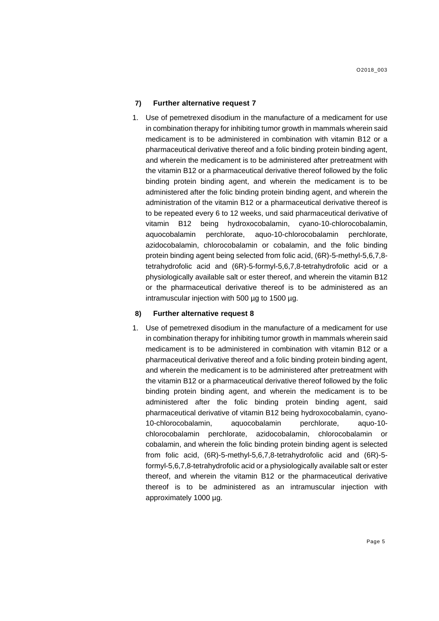1. Use of pemetrexed disodium in the manufacture of a medicament for use in combination therapy for inhibiting tumor growth in mammals wherein said medicament is to be administered in combination with vitamin B12 or a pharmaceutical derivative thereof and a folic binding protein binding agent, and wherein the medicament is to be administered after pretreatment with the vitamin B12 or a pharmaceutical derivative thereof followed by the folic binding protein binding agent, and wherein the medicament is to be administered after the folic binding protein binding agent, and wherein the administration of the vitamin B12 or a pharmaceutical derivative thereof is to be repeated every 6 to 12 weeks, und said pharmaceutical derivative of vitamin B12 being hydroxocobalamin, cyano-10-chlorocobalamin, aquocobalamin perchlorate, aquo-10-chlorocobalamin perchlorate, azidocobalamin, chlorocobalamin or cobalamin, and the folic binding protein binding agent being selected from folic acid, (6R)-5-methyl-5,6,7,8 tetrahydrofolic acid and (6R)-5-formyl-5,6,7,8-tetrahydrofolic acid or a physiologically available salt or ester thereof, and wherein the vitamin B12 or the pharmaceutical derivative thereof is to be administered as an intramuscular injection with 500 µg to 1500 µg.

#### **8) Further alternative request 8**

1. Use of pemetrexed disodium in the manufacture of a medicament for use in combination therapy for inhibiting tumor growth in mammals wherein said medicament is to be administered in combination with vitamin B12 or a pharmaceutical derivative thereof and a folic binding protein binding agent, and wherein the medicament is to be administered after pretreatment with the vitamin B12 or a pharmaceutical derivative thereof followed by the folic binding protein binding agent, and wherein the medicament is to be administered after the folic binding protein binding agent, said pharmaceutical derivative of vitamin B12 being hydroxocobalamin, cyano-10-chlorocobalamin, aquocobalamin perchlorate, aquo-10 chlorocobalamin perchlorate, azidocobalamin, chlorocobalamin or cobalamin, and wherein the folic binding protein binding agent is selected from folic acid, (6R)-5-methyl-5,6,7,8-tetrahydrofolic acid and (6R)-5 formyl-5,6,7,8-tetrahydrofolic acid or a physiologically available salt or ester thereof, and wherein the vitamin B12 or the pharmaceutical derivative thereof is to be administered as an intramuscular injection with approximately 1000 µg.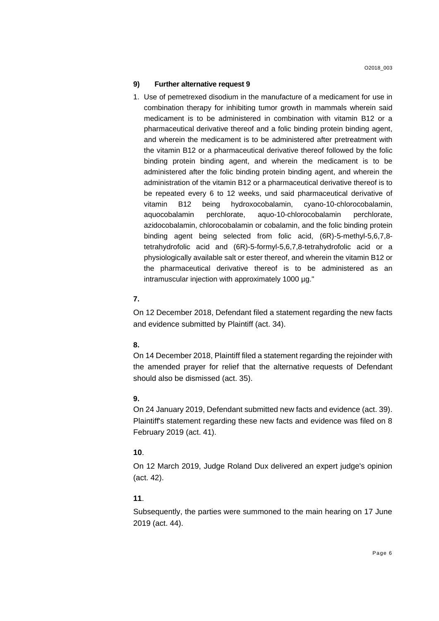1. Use of pemetrexed disodium in the manufacture of a medicament for use in combination therapy for inhibiting tumor growth in mammals wherein said medicament is to be administered in combination with vitamin B12 or a pharmaceutical derivative thereof and a folic binding protein binding agent, and wherein the medicament is to be administered after pretreatment with the vitamin B12 or a pharmaceutical derivative thereof followed by the folic binding protein binding agent, and wherein the medicament is to be administered after the folic binding protein binding agent, and wherein the administration of the vitamin B12 or a pharmaceutical derivative thereof is to be repeated every 6 to 12 weeks, und said pharmaceutical derivative of vitamin B12 being hydroxocobalamin, cyano-10-chlorocobalamin, aquocobalamin perchlorate, aquo-10-chlorocobalamin perchlorate, azidocobalamin, chlorocobalamin or cobalamin, and the folic binding protein binding agent being selected from folic acid, (6R)-5-methyl-5,6,7,8 tetrahydrofolic acid and (6R)-5-formyl-5,6,7,8-tetrahydrofolic acid or a physiologically available salt or ester thereof, and wherein the vitamin B12 or the pharmaceutical derivative thereof is to be administered as an intramuscular injection with approximately 1000 µg."

# **7.**

On 12 December 2018, Defendant filed a statement regarding the new facts and evidence submitted by Plaintiff (act. 34).

### **8.**

On 14 December 2018, Plaintiff filed a statement regarding the rejoinder with the amended prayer for relief that the alternative requests of Defendant should also be dismissed (act. 35).

# **9.**

On 24 January 2019, Defendant submitted new facts and evidence (act. 39). Plaintiff's statement regarding these new facts and evidence was filed on 8 February 2019 (act. 41).

# **10**.

On 12 March 2019, Judge Roland Dux delivered an expert judge's opinion (act. 42).

# **11**.

Subsequently, the parties were summoned to the main hearing on 17 June 2019 (act. 44).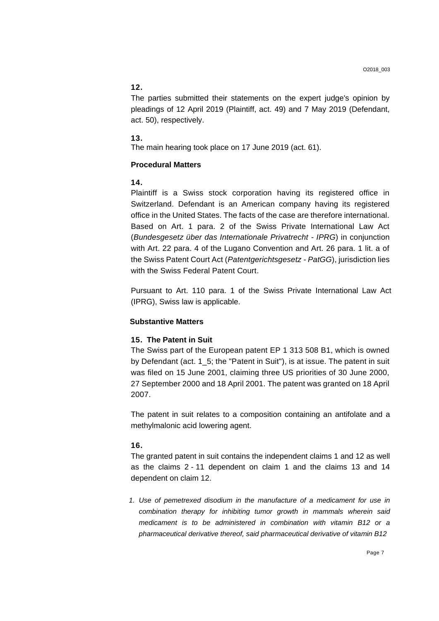# **12.**

The parties submitted their statements on the expert judge's opinion by pleadings of 12 April 2019 (Plaintiff, act. 49) and 7 May 2019 (Defendant, act. 50), respectively.

#### **13.**

The main hearing took place on 17 June 2019 (act. 61).

### **Procedural Matters**

### **14.**

Plaintiff is a Swiss stock corporation having its registered office in Switzerland. Defendant is an American company having its registered office in the United States. The facts of the case are therefore international. Based on Art. 1 para. 2 of the Swiss Private International Law Act (*Bundesgesetz über das Internationale Privatrecht - IPRG*) in conjunction with Art. 22 para. 4 of the Lugano Convention and Art. 26 para. 1 lit. a of the Swiss Patent Court Act (*Patentgerichtsgesetz - PatGG*), jurisdiction lies with the Swiss Federal Patent Court.

Pursuant to Art. 110 para. 1 of the Swiss Private International Law Act (IPRG), Swiss law is applicable.

### **Substantive Matters**

#### **15. The Patent in Suit**

The Swiss part of the European patent EP 1 313 508 B1, which is owned by Defendant (act. 1\_5; the "Patent in Suit"), is at issue. The patent in suit was filed on 15 June 2001, claiming three US priorities of 30 June 2000, 27 September 2000 and 18 April 2001. The patent was granted on 18 April 2007.

The patent in suit relates to a composition containing an antifolate and a methylmalonic acid lowering agent.

### **16.**

The granted patent in suit contains the independent claims 1 and 12 as well as the claims 2 - 11 dependent on claim 1 and the claims 13 and 14 dependent on claim 12.

*1. Use of pemetrexed disodium in the manufacture of a medicament for use in combination therapy for inhibiting tumor growth in mammals wherein said medicament is to be administered in combination with vitamin B12 or a pharmaceutical derivative thereof, said pharmaceutical derivative of vitamin B12*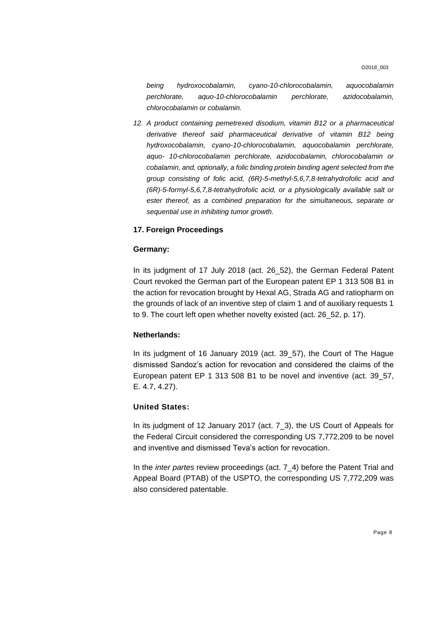O2018\_003

*being hydroxocobalamin, cyano-10-chlorocobalamin, aquocobalamin perchlorate, aquo-10-chlorocobalamin perchlorate, azidocobalamin, chlorocobalamin or cobalamin.*

12. A product containing pemetrexed disodium, vitamin B12 or a pharmaceutical *derivative thereof said pharmaceutical derivative of vitamin B12 being hydroxocobalamin, cyano-10-chlorocobalamin, aquocobalamin perchlorate, aquo- 10-chlorocobalamin perchlorate, azidocobalamin, chlorocobalamin or cobalamin, and, optionally, a folic binding protein binding agent selected from the group consisting of folic acid, (6R)-5-methyl-5,6,7,8-tetrahydrofolic acid and (6R)-5-formyl-5,6,7,8-tetrahydrofolic acid, or a physiologically available salt or ester thereof, as a combined preparation for the simultaneous, separate or sequential use in inhibiting tumor growth.*

# **17. Foreign Proceedings**

### **Germany:**

In its judgment of 17 July 2018 (act. 26\_52), the German Federal Patent Court revoked the German part of the European patent EP 1 313 508 B1 in the action for revocation brought by Hexal AG, Strada AG and ratiopharm on the grounds of lack of an inventive step of claim 1 and of auxiliary requests 1 to 9. The court left open whether novelty existed (act. 26\_52, p. 17).

### **Netherlands:**

In its judgment of 16 January 2019 (act. 39\_57), the Court of The Hague dismissed Sandoz's action for revocation and considered the claims of the European patent EP 1 313 508 B1 to be novel and inventive (act. 39\_57, E. 4.7, 4.27).

#### **United States:**

In its judgment of 12 January 2017 (act. 7\_3), the US Court of Appeals for the Federal Circuit considered the corresponding US 7,772,209 to be novel and inventive and dismissed Teva's action for revocation.

In the *inter partes* review proceedings (act. 7\_4) before the Patent Trial and Appeal Board (PTAB) of the USPTO, the corresponding US 7,772,209 was also considered patentable.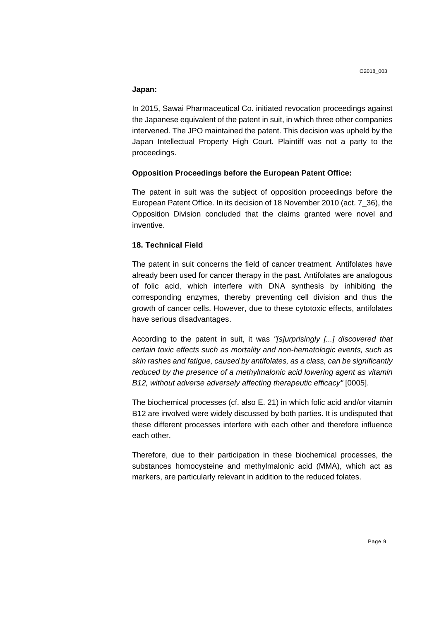### **Japan:**

In 2015, Sawai Pharmaceutical Co. initiated revocation proceedings against the Japanese equivalent of the patent in suit, in which three other companies intervened. The JPO maintained the patent. This decision was upheld by the Japan Intellectual Property High Court. Plaintiff was not a party to the proceedings.

### **Opposition Proceedings before the European Patent Office:**

The patent in suit was the subject of opposition proceedings before the European Patent Office. In its decision of 18 November 2010 (act. 7\_36), the Opposition Division concluded that the claims granted were novel and inventive.

# **18. Technical Field**

The patent in suit concerns the field of cancer treatment. Antifolates have already been used for cancer therapy in the past. Antifolates are analogous of folic acid, which interfere with DNA synthesis by inhibiting the corresponding enzymes, thereby preventing cell division and thus the growth of cancer cells. However, due to these cytotoxic effects, antifolates have serious disadvantages.

According to the patent in suit, it was *"[s]urprisingly [...] discovered that certain toxic effects such as mortality and non-hematologic events, such as skin rashes and fatigue, caused by antifolates, as a class, can be significantly reduced by the presence of a methylmalonic acid lowering agent as vitamin B12, without adverse adversely affecting therapeutic efficacy"* [0005].

The biochemical processes (cf. also E. 21) in which folic acid and/or vitamin B12 are involved were widely discussed by both parties. It is undisputed that these different processes interfere with each other and therefore influence each other.

Therefore, due to their participation in these biochemical processes, the substances homocysteine and methylmalonic acid (MMA), which act as markers, are particularly relevant in addition to the reduced folates.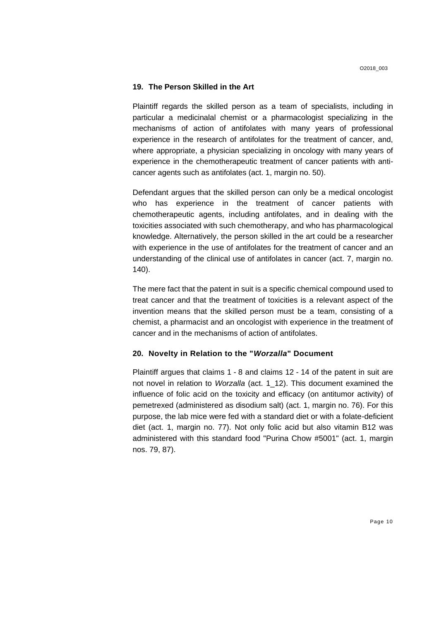#### **19. The Person Skilled in the Art**

Plaintiff regards the skilled person as a team of specialists, including in particular a medicinalal chemist or a pharmacologist specializing in the mechanisms of action of antifolates with many years of professional experience in the research of antifolates for the treatment of cancer, and, where appropriate, a physician specializing in oncology with many years of experience in the chemotherapeutic treatment of cancer patients with anticancer agents such as antifolates (act. 1, margin no. 50).

Defendant argues that the skilled person can only be a medical oncologist who has experience in the treatment of cancer patients with chemotherapeutic agents, including antifolates, and in dealing with the toxicities associated with such chemotherapy, and who has pharmacological knowledge. Alternatively, the person skilled in the art could be a researcher with experience in the use of antifolates for the treatment of cancer and an understanding of the clinical use of antifolates in cancer (act. 7, margin no. 140).

The mere fact that the patent in suit is a specific chemical compound used to treat cancer and that the treatment of toxicities is a relevant aspect of the invention means that the skilled person must be a team, consisting of a chemist, a pharmacist and an oncologist with experience in the treatment of cancer and in the mechanisms of action of antifolates.

#### **20. Novelty in Relation to the "***Worzalla***" Document**

Plaintiff argues that claims 1 - 8 and claims 12 - 14 of the patent in suit are not novel in relation to *Worzalla* (act. 1\_12). This document examined the influence of folic acid on the toxicity and efficacy (on antitumor activity) of pemetrexed (administered as disodium salt) (act. 1, margin no. 76). For this purpose, the lab mice were fed with a standard diet or with a folate-deficient diet (act. 1, margin no. 77). Not only folic acid but also vitamin B12 was administered with this standard food "Purina Chow #5001" (act. 1, margin nos. 79, 87).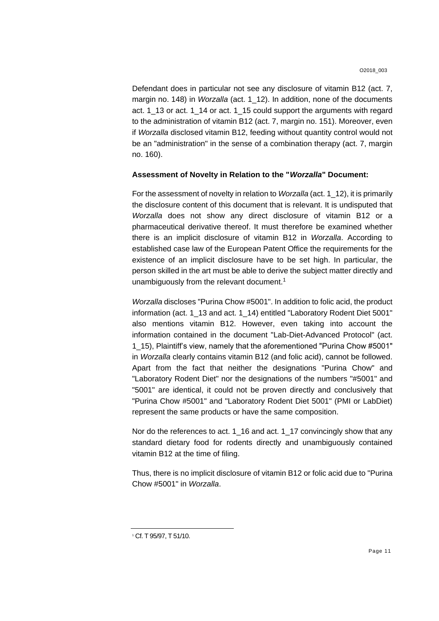Defendant does in particular not see any disclosure of vitamin B12 (act. 7, margin no. 148) in *Worzalla* (act. 1\_12). In addition, none of the documents act. 1\_13 or act. 1\_14 or act. 1\_15 could support the arguments with regard to the administration of vitamin B12 (act. 7, margin no. 151). Moreover, even if *Worzalla* disclosed vitamin B12, feeding without quantity control would not be an "administration" in the sense of a combination therapy (act. 7, margin no. 160).

#### **Assessment of Novelty in Relation to the "***Worzalla***" Document:**

For the assessment of novelty in relation to *Worzalla* (act. 1\_12), it is primarily the disclosure content of this document that is relevant. It is undisputed that *Worzalla* does not show any direct disclosure of vitamin B12 or a pharmaceutical derivative thereof. It must therefore be examined whether there is an implicit disclosure of vitamin B12 in *Worzalla*. According to established case law of the European Patent Office the requirements for the existence of an implicit disclosure have to be set high. In particular, the person skilled in the art must be able to derive the subject matter directly and unambiguously from the relevant document. 1

*Worzalla* discloses "Purina Chow #5001". In addition to folic acid, the product information (act. 1\_13 and act. 1\_14) entitled "Laboratory Rodent Diet 5001" also mentions vitamin B12. However, even taking into account the information contained in the document "Lab-Diet-Advanced Protocol" (act. 1\_15), Plaintiff's view, namely that the aforementioned "Purina Chow #5001" in *Worzalla* clearly contains vitamin B12 (and folic acid), cannot be followed. Apart from the fact that neither the designations "Purina Chow" and "Laboratory Rodent Diet" nor the designations of the numbers "#5001" and "5001" are identical, it could not be proven directly and conclusively that "Purina Chow #5001" and "Laboratory Rodent Diet 5001" (PMI or LabDiet) represent the same products or have the same composition.

Nor do the references to act. 1\_16 and act. 1\_17 convincingly show that any standard dietary food for rodents directly and unambiguously contained vitamin B12 at the time of filing.

Thus, there is no implicit disclosure of vitamin B12 or folic acid due to "Purina Chow #5001" in *Worzalla*.

<sup>1</sup> Cf. T 95/97, T 51/10.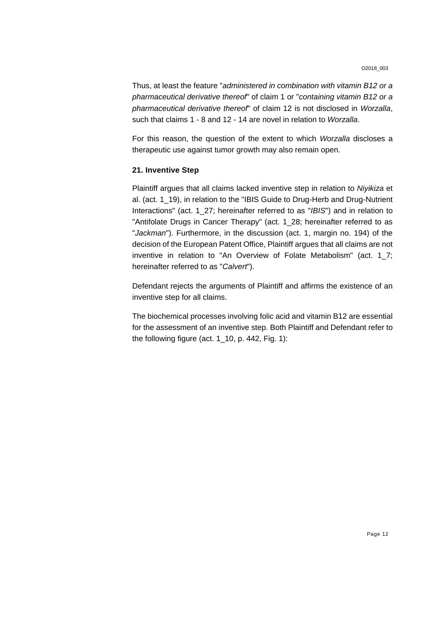Thus, at least the feature "*administered in combination with vitamin B12 or a pharmaceutical derivative thereof*" of claim 1 or "*containing vitamin B12 or a pharmaceutical derivative thereof*" of claim 12 is not disclosed in *Worzalla*, such that claims 1 - 8 and 12 - 14 are novel in relation to *Worzalla*.

For this reason, the question of the extent to which *Worzalla* discloses a therapeutic use against tumor growth may also remain open.

### **21. Inventive Step**

Plaintiff argues that all claims lacked inventive step in relation to *Niyikiza* et al. (act. 1\_19), in relation to the "IBIS Guide to Drug-Herb and Drug-Nutrient Interactions" (act. 1\_27; hereinafter referred to as "*IBIS*") and in relation to "Antifolate Drugs in Cancer Therapy" (act. 1\_28; hereinafter referred to as "*Jackman*"). Furthermore, in the discussion (act. 1, margin no. 194) of the decision of the European Patent Office, Plaintiff argues that all claims are not inventive in relation to "An Overview of Folate Metabolism" (act. 1\_7; hereinafter referred to as "*Calvert*").

Defendant rejects the arguments of Plaintiff and affirms the existence of an inventive step for all claims.

The biochemical processes involving folic acid and vitamin B12 are essential for the assessment of an inventive step. Both Plaintiff and Defendant refer to the following figure (act.  $1\_10$ , p. 442, Fig. 1):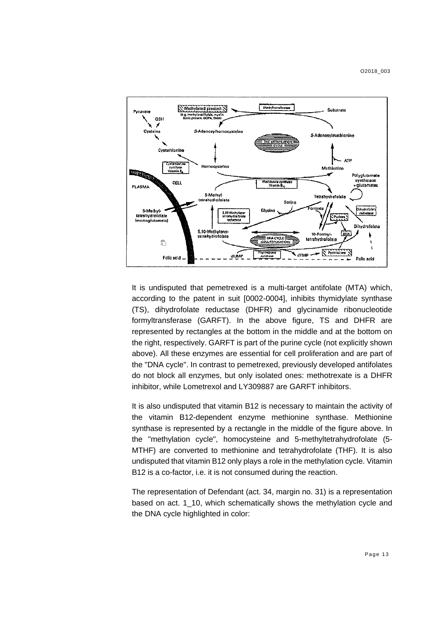

It is undisputed that pemetrexed is a multi-target antifolate (MTA) which, according to the patent in suit [0002-0004], inhibits thymidylate synthase (TS), dihydrofolate reductase (DHFR) and glycinamide ribonucleotide formyltransferase (GARFT). In the above figure, TS and DHFR are represented by rectangles at the bottom in the middle and at the bottom on the right, respectively. GARFT is part of the purine cycle (not explicitly shown above). All these enzymes are essential for cell proliferation and are part of the "DNA cycle". In contrast to pemetrexed, previously developed antifolates do not block all enzymes, but only isolated ones: methotrexate is a DHFR inhibitor, while Lometrexol and LY309887 are GARFT inhibitors.

It is also undisputed that vitamin B12 is necessary to maintain the activity of the vitamin B12-dependent enzyme methionine synthase. Methionine synthase is represented by a rectangle in the middle of the figure above. In the "methylation cycle", homocysteine and 5-methyltetrahydrofolate (5- MTHF) are converted to methionine and tetrahydrofolate (THF). It is also undisputed that vitamin B12 only plays a role in the methylation cycle. Vitamin B12 is a co-factor, i.e. it is not consumed during the reaction.

The representation of Defendant (act. 34, margin no. 31) is a representation based on act. 1\_10, which schematically shows the methylation cycle and the DNA cycle highlighted in color: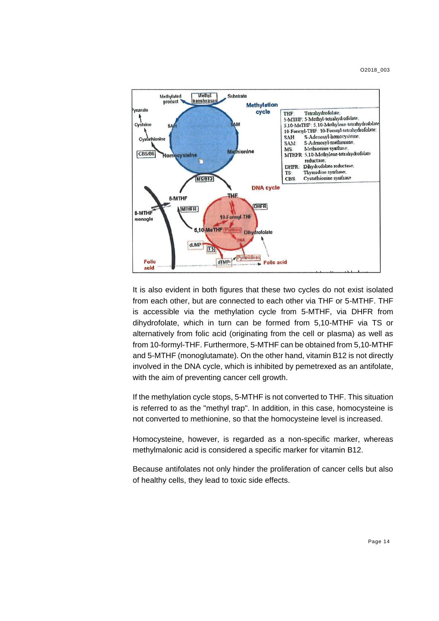O2018\_003



It is also evident in both figures that these two cycles do not exist isolated from each other, but are connected to each other via THF or 5-MTHF. THF is accessible via the methylation cycle from 5-MTHF, via DHFR from dihydrofolate, which in turn can be formed from 5,10-MTHF via TS or alternatively from folic acid (originating from the cell or plasma) as well as from 10-formyl-THF. Furthermore, 5-MTHF can be obtained from 5,10-MTHF and 5-MTHF (monoglutamate). On the other hand, vitamin B12 is not directly involved in the DNA cycle, which is inhibited by pemetrexed as an antifolate, with the aim of preventing cancer cell growth.

If the methylation cycle stops, 5-MTHF is not converted to THF. This situation is referred to as the "methyl trap". In addition, in this case, homocysteine is not converted to methionine, so that the homocysteine level is increased.

Homocysteine, however, is regarded as a non-specific marker, whereas methylmalonic acid is considered a specific marker for vitamin B12.

Because antifolates not only hinder the proliferation of cancer cells but also of healthy cells, they lead to toxic side effects.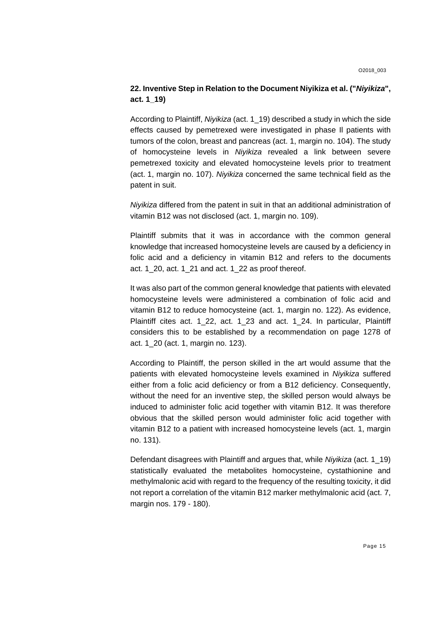# **22. Inventive Step in Relation to the Document Niyikiza et al. ("***Niyikiza***", act. 1\_19)**

According to Plaintiff, *Niyikiza* (act. 1\_19) described a study in which the side effects caused by pemetrexed were investigated in phase Il patients with tumors of the colon, breast and pancreas (act. 1, margin no. 104). The study of homocysteine levels in *Niyikiza* revealed a link between severe pemetrexed toxicity and elevated homocysteine levels prior to treatment (act. 1, margin no. 107). *Niyikiza* concerned the same technical field as the patent in suit.

*Niyikiza* differed from the patent in suit in that an additional administration of vitamin B12 was not disclosed (act. 1, margin no. 109).

Plaintiff submits that it was in accordance with the common general knowledge that increased homocysteine levels are caused by a deficiency in folic acid and a deficiency in vitamin B12 and refers to the documents act. 1\_20, act. 1\_21 and act. 1\_22 as proof thereof.

It was also part of the common general knowledge that patients with elevated homocysteine levels were administered a combination of folic acid and vitamin B12 to reduce homocysteine (act. 1, margin no. 122). As evidence, Plaintiff cites act. 1\_22, act. 1\_23 and act. 1\_24. In particular, Plaintiff considers this to be established by a recommendation on page 1278 of act. 1\_20 (act. 1, margin no. 123).

According to Plaintiff, the person skilled in the art would assume that the patients with elevated homocysteine levels examined in *Niyikiza* suffered either from a folic acid deficiency or from a B12 deficiency. Consequently, without the need for an inventive step, the skilled person would always be induced to administer folic acid together with vitamin B12. It was therefore obvious that the skilled person would administer folic acid together with vitamin B12 to a patient with increased homocysteine levels (act. 1, margin no. 131).

Defendant disagrees with Plaintiff and argues that, while *Niyikiza* (act. 1\_19) statistically evaluated the metabolites homocysteine, cystathionine and methylmalonic acid with regard to the frequency of the resulting toxicity, it did not report a correlation of the vitamin B12 marker methylmalonic acid (act. 7, margin nos. 179 - 180).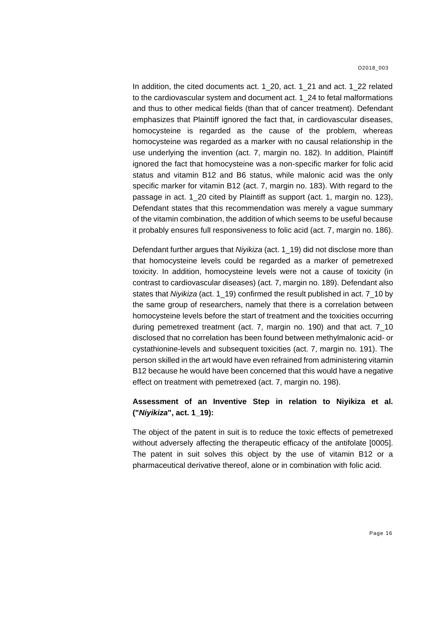In addition, the cited documents act. 1\_20, act. 1\_21 and act. 1\_22 related to the cardiovascular system and document act. 1\_24 to fetal malformations and thus to other medical fields (than that of cancer treatment). Defendant emphasizes that Plaintiff ignored the fact that, in cardiovascular diseases, homocysteine is regarded as the cause of the problem, whereas homocysteine was regarded as a marker with no causal relationship in the use underlying the invention (act. 7, margin no. 182). In addition, Plaintiff ignored the fact that homocysteine was a non-specific marker for folic acid status and vitamin B12 and B6 status, while malonic acid was the only specific marker for vitamin B12 (act. 7, margin no. 183). With regard to the passage in act. 1\_20 cited by Plaintiff as support (act. 1, margin no. 123), Defendant states that this recommendation was merely a vague summary of the vitamin combination, the addition of which seems to be useful because it probably ensures full responsiveness to folic acid (act. 7, margin no. 186).

Defendant further argues that *Niyikiza* (act. 1\_19) did not disclose more than that homocysteine levels could be regarded as a marker of pemetrexed toxicity. In addition, homocysteine levels were not a cause of toxicity (in contrast to cardiovascular diseases) (act. 7, margin no. 189). Defendant also states that *Niyikiza* (act. 1\_19) confirmed the result published in act. 7\_10 by the same group of researchers, namely that there is a correlation between homocysteine levels before the start of treatment and the toxicities occurring during pemetrexed treatment (act. 7, margin no. 190) and that act. 7\_10 disclosed that no correlation has been found between methylmalonic acid- or cystathionine-levels and subsequent toxicities (act. 7, margin no. 191). The person skilled in the art would have even refrained from administering vitamin B12 because he would have been concerned that this would have a negative effect on treatment with pemetrexed (act. 7, margin no. 198).

# **Assessment of an Inventive Step in relation to Niyikiza et al. ("***Niyikiza***", act. 1\_19):**

The object of the patent in suit is to reduce the toxic effects of pemetrexed without adversely affecting the therapeutic efficacy of the antifolate [0005]. The patent in suit solves this object by the use of vitamin B12 or a pharmaceutical derivative thereof, alone or in combination with folic acid.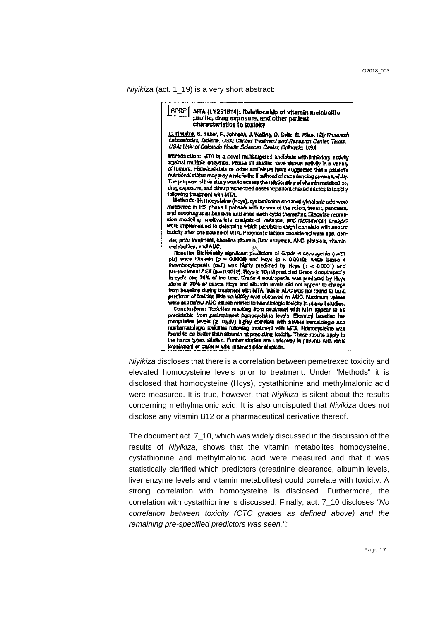*Niyikiza* (act. 1\_19) is a very short abstract:

609P MTA (LY231514): Relationship of vitamin metabolite profile, drug exposure, and other patient<br>characteristics to toxicity C. Nhäldra, S. Baker, R. Johnson, J. Walling, D. Seitz, R. Allen. Ully Research<br>Leboratories, Indians, USA; Cancer Trestment and Research Centar, Taxas, USA; Univ of Colorado Health Sciences Center, Colorado, USA introduction: MTA is a novel multilargeted antifolate with inhibitory activity against multiple enzymes. Phase MI sindles have shown activity in a variety of turnors. Historical data on other antifolates have auggested that a patient's nutritional status may play a role in the fixal hood of expariencing savere toxicity. The purpose of this study was to essess the relationarity of vitamin metabolites. day exposure, and other prespectives baseline patient characteristics to taxicity following treatment with MTA. Method's: Homocysiaine (Hoys), cysiathionine and mathylmalonic acid were measured in 199 phean il patients with turnors of the polon, treast, pencrees, and esophagus at bassine and once each cycle thereafter. Slepwise regrasion modeling, multivariate analysis of variance, and discriminant analysis were implemented to determine which precisions might complain with assemtoxicity after one course of MTA. Prograetic factors considered were age, gender, prior transment, baseline albumin, Dver enzymes, ANC, platelets, vitamin metabolites, and AUC. Results: Statistically significant productors of Grade 4 neutropenia (nx21 pis) were albumin (p = 0.0006) and Heys (p = 0.0012), while Grade 4 ihrombocytopenia (n=B) was highly predicted by Hoya (p  $\lt$  0.0001) and pre-treatment AST (p.e. 0.0012). Hoya  $\geq 10 \mu M$  predicted Grade 4 neutropenia<br>In syde one 76% of the time, Grade 4 neutropenia was predicted by Hoya along in 70% of cases. Hoys and albumin levels did not appear to change from baseline during treatment with MTA. While AUC was not found to be a predictor of toxicity, little variability was observed in AUC. Maximum values were still below AUC values related to hematolopic toxicity in phase I studies. Conclusions: Todolfes resulting from tradment with MTA appear to be predictable from pretreatment homocysteine levels. Elevated baseline homocyateine levels (≥ 10/1M) highly correlate with asvers hematologic and nonhematologic touches following tradment with MFA. Homocysteine was the turnor types sibded. Further studen are underway to patients with renal Impelment or patients who received prior clapletin.

*Niyikiza* discloses that there is a correlation between pemetrexed toxicity and elevated homocysteine levels prior to treatment. Under "Methods" it is disclosed that homocysteine (Hcys), cystathionine and methylmalonic acid were measured. It is true, however, that *Niyikiza* is silent about the results concerning methylmalonic acid. It is also undisputed that *Niyikiza* does not disclose any vitamin B12 or a pharmaceutical derivative thereof.

The document act. 7\_10, which was widely discussed in the discussion of the results of *Niyikiza*, shows that the vitamin metabolites homocysteine, cystathionine and methylmalonic acid were measured and that it was statistically clarified which predictors (creatinine clearance, albumin levels, liver enzyme levels and vitamin metabolites) could correlate with toxicity. A strong correlation with homocysteine is disclosed. Furthermore, the correlation with cystathionine is discussed. Finally, act. 7\_10 discloses *"No correlation between toxicity (CTC grades as defined above) and the remaining pre-specified predictors was seen.":*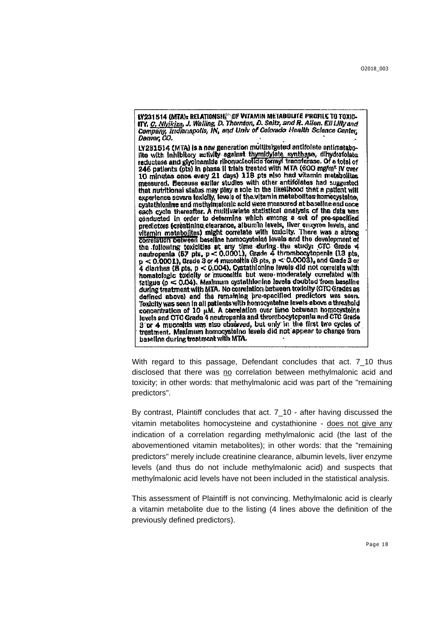17231514 (MTA): RELATIONSH OF VITAMIN METABOLITE PROFILE TO TOXIC-ITY, C. Nivikiza, J. Walling, D. Thornton, D. Sellz, and R. Allen. Ell Lilly and<br>Company, Indianapolis, IN, and Univ of Colorado Health Science Center, Denver, CO.

LY231514 (MTA) is a new generation multitargeted antifolate antimetabolite with Inhibitory activity against thymidylate synthase, dihydrafolate reductase and glycinamide ribonucleofide formyl transferase. Of a total of 246 patients (pts) in phase II trials treated with MTA (600 mg/m<sup>2</sup> IV over 10 minutes once every 21 days) 118 pts also had vitamin metabolites measured. Because earlier studies with other antifolates had suggested that nutritional status may play a role in the likelihood that a patient will experience severe toxicity, levels of the vitamin metabolites homocysteine, cystathionine and methylmaionic acid were measured at baseline and once each cycle thereafter. A multivariate statistical analysis of the data was conducted in order to determine which among a set of pre-specified predictors (creatinine clearance, albumin levels, liver enzyme levels, and vitemin metabolites) might correlate with toxicity. There was a strong correlation between baseline homocystales lavels and the development of correlation between beselves numbers and the study. CTC Grade 4<br>the following toxicities at any time during the study. CTC Grade 4<br>nutropenia (67 pts,  $p < 0.0001$ ), Grade 4 thrombocytopenia (13 pts,<br> $p < 0.0001$ ), Grade 3 hematologic toxicity or mucositis but were moderately correlated with fatigue ( $\rho < 0.04$ ). Maximum cystathionine lavels doubted from baseline during treatment with MTA. No correlation between toxicity (CTC Grades as defined above) and the remaining pre-specified predictors was seen. Toxicity was seen in all patients with homocystelne levels above a threshold concentration of 10 µM. A correlation over time between homocysteins levels and CTC Grade 4 neutropents and thrombocytopenia and CTC Grade 3 or 4 mucositis was also observed, but only in the first two cycles of treatment. Maximum homocysteine levels did not appear to change from baseline during treatment with MTA.

With regard to this passage, Defendant concludes that act. 7\_10 thus disclosed that there was no correlation between methylmalonic acid and toxicity; in other words: that methylmalonic acid was part of the "remaining predictors".

By contrast, Plaintiff concludes that act. 7\_10 - after having discussed the vitamin metabolites homocysteine and cystathionine - does not give any indication of a correlation regarding methylmalonic acid (the last of the abovementioned vitamin metabolites); in other words: that the "remaining predictors" merely include creatinine clearance, albumin levels, liver enzyme levels (and thus do not include methylmalonic acid) and suspects that methylmalonic acid levels have not been included in the statistical analysis.

This assessment of Plaintiff is not convincing. Methylmalonic acid is clearly a vitamin metabolite due to the listing (4 lines above the definition of the previously defined predictors).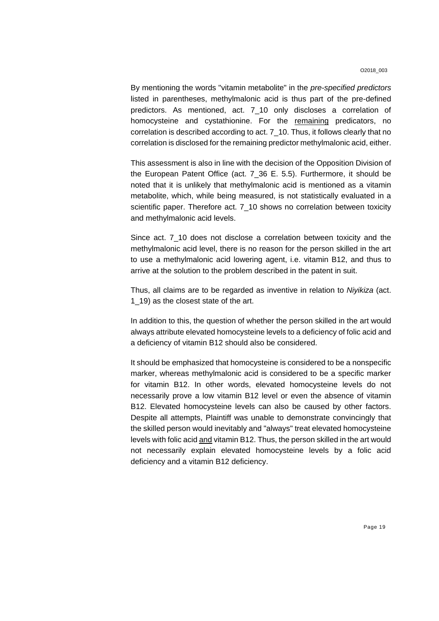By mentioning the words "vitamin metabolite" in the *pre-specified predictors* listed in parentheses, methylmalonic acid is thus part of the pre-defined predictors. As mentioned, act. 7\_10 only discloses a correlation of homocysteine and cystathionine. For the remaining predicators, no correlation is described according to act. 7\_10. Thus, it follows clearly that no correlation is disclosed for the remaining predictor methylmalonic acid, either.

This assessment is also in line with the decision of the Opposition Division of the European Patent Office (act. 7\_36 E. 5.5). Furthermore, it should be noted that it is unlikely that methylmalonic acid is mentioned as a vitamin metabolite, which, while being measured, is not statistically evaluated in a scientific paper. Therefore act. 7\_10 shows no correlation between toxicity and methylmalonic acid levels.

Since act. 7\_10 does not disclose a correlation between toxicity and the methylmalonic acid level, there is no reason for the person skilled in the art to use a methylmalonic acid lowering agent, i.e. vitamin B12, and thus to arrive at the solution to the problem described in the patent in suit.

Thus, all claims are to be regarded as inventive in relation to *Niyikiza* (act. 1\_19) as the closest state of the art.

In addition to this, the question of whether the person skilled in the art would always attribute elevated homocysteine levels to a deficiency of folic acid and a deficiency of vitamin B12 should also be considered.

It should be emphasized that homocysteine is considered to be a nonspecific marker, whereas methylmalonic acid is considered to be a specific marker for vitamin B12. In other words, elevated homocysteine levels do not necessarily prove a low vitamin B12 level or even the absence of vitamin B12. Elevated homocysteine levels can also be caused by other factors. Despite all attempts, Plaintiff was unable to demonstrate convincingly that the skilled person would inevitably and "always" treat elevated homocysteine levels with folic acid and vitamin B12. Thus, the person skilled in the art would not necessarily explain elevated homocysteine levels by a folic acid deficiency and a vitamin B12 deficiency.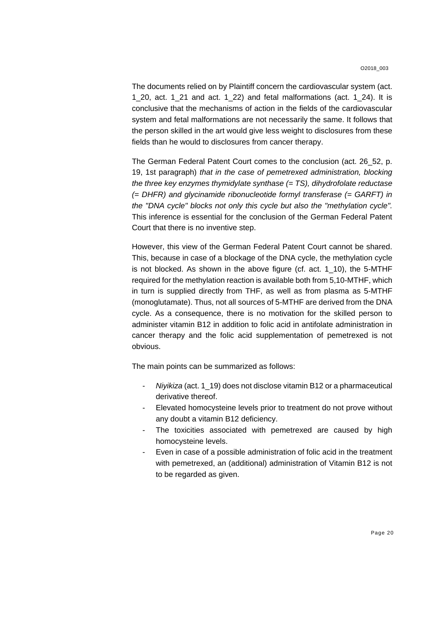The documents relied on by Plaintiff concern the cardiovascular system (act. 1\_20, act. 1\_21 and act. 1\_22) and fetal malformations (act. 1\_24). It is conclusive that the mechanisms of action in the fields of the cardiovascular system and fetal malformations are not necessarily the same. It follows that the person skilled in the art would give less weight to disclosures from these fields than he would to disclosures from cancer therapy.

The German Federal Patent Court comes to the conclusion (act. 26\_52, p. 19, 1st paragraph) *that in the case of pemetrexed administration, blocking the three key enzymes thymidylate synthase (= TS), dihydrofolate reductase (= DHFR) and glycinamide ribonucleotide formyl transferase (= GARFT) in the "DNA cycle" blocks not only this cycle but also the "methylation cycle".* This inference is essential for the conclusion of the German Federal Patent Court that there is no inventive step.

However, this view of the German Federal Patent Court cannot be shared. This, because in case of a blockage of the DNA cycle, the methylation cycle is not blocked. As shown in the above figure (cf. act. 1\_10), the 5-MTHF required for the methylation reaction is available both from 5,10-MTHF, which in turn is supplied directly from THF, as well as from plasma as 5-MTHF (monoglutamate). Thus, not all sources of 5-MTHF are derived from the DNA cycle. As a consequence, there is no motivation for the skilled person to administer vitamin B12 in addition to folic acid in antifolate administration in cancer therapy and the folic acid supplementation of pemetrexed is not obvious.

The main points can be summarized as follows:

- *Niyikiza* (act. 1\_19) does not disclose vitamin B12 or a pharmaceutical derivative thereof.
- Elevated homocysteine levels prior to treatment do not prove without any doubt a vitamin B12 deficiency.
- The toxicities associated with pemetrexed are caused by high homocysteine levels.
- Even in case of a possible administration of folic acid in the treatment with pemetrexed, an (additional) administration of Vitamin B12 is not to be regarded as given.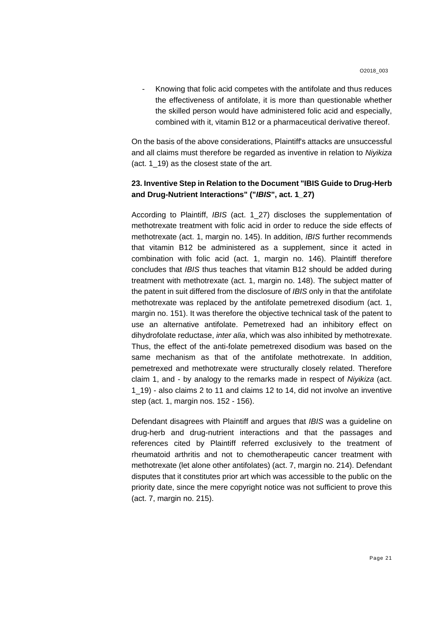Knowing that folic acid competes with the antifolate and thus reduces the effectiveness of antifolate, it is more than questionable whether the skilled person would have administered folic acid and especially, combined with it, vitamin B12 or a pharmaceutical derivative thereof.

On the basis of the above considerations, Plaintiff's attacks are unsuccessful and all claims must therefore be regarded as inventive in relation to *Niyikiza* (act. 1\_19) as the closest state of the art.

# **23. Inventive Step in Relation to the Document "IBIS Guide to Drug-Herb and Drug-Nutrient Interactions" ("***IBIS***", act. 1\_27)**

According to Plaintiff, *IBIS* (act. 1\_27) discloses the supplementation of methotrexate treatment with folic acid in order to reduce the side effects of methotrexate (act. 1, margin no. 145). In addition, *IBIS* further recommends that vitamin B12 be administered as a supplement, since it acted in combination with folic acid (act. 1, margin no. 146). Plaintiff therefore concludes that *IBIS* thus teaches that vitamin B12 should be added during treatment with methotrexate (act. 1, margin no. 148). The subject matter of the patent in suit differed from the disclosure of *IBIS* only in that the antifolate methotrexate was replaced by the antifolate pemetrexed disodium (act. 1, margin no. 151). It was therefore the objective technical task of the patent to use an alternative antifolate. Pemetrexed had an inhibitory effect on dihydrofolate reductase, *inter alia*, which was also inhibited by methotrexate. Thus, the effect of the anti-folate pemetrexed disodium was based on the same mechanism as that of the antifolate methotrexate. In addition, pemetrexed and methotrexate were structurally closely related. Therefore claim 1, and - by analogy to the remarks made in respect of *Niyikiza* (act. 1\_19) - also claims 2 to 11 and claims 12 to 14, did not involve an inventive step (act. 1, margin nos. 152 - 156).

Defendant disagrees with Plaintiff and argues that *IBIS* was a guideline on drug-herb and drug-nutrient interactions and that the passages and references cited by Plaintiff referred exclusively to the treatment of rheumatoid arthritis and not to chemotherapeutic cancer treatment with methotrexate (let alone other antifolates) (act. 7, margin no. 214). Defendant disputes that it constitutes prior art which was accessible to the public on the priority date, since the mere copyright notice was not sufficient to prove this (act. 7, margin no. 215).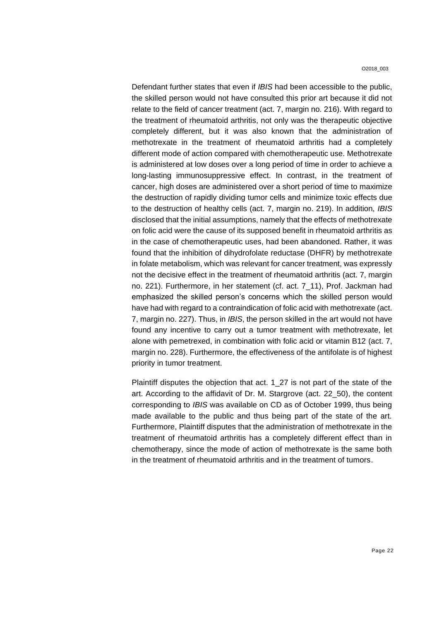Defendant further states that even if *IBIS* had been accessible to the public, the skilled person would not have consulted this prior art because it did not relate to the field of cancer treatment (act. 7, margin no. 216). With regard to the treatment of rheumatoid arthritis, not only was the therapeutic objective completely different, but it was also known that the administration of methotrexate in the treatment of rheumatoid arthritis had a completely different mode of action compared with chemotherapeutic use. Methotrexate is administered at low doses over a long period of time in order to achieve a long-lasting immunosuppressive effect. In contrast, in the treatment of cancer, high doses are administered over a short period of time to maximize the destruction of rapidly dividing tumor cells and minimize toxic effects due to the destruction of healthy cells (act. 7, margin no. 219). In addition, *IBIS* disclosed that the initial assumptions, namely that the effects of methotrexate on folic acid were the cause of its supposed benefit in rheumatoid arthritis as in the case of chemotherapeutic uses, had been abandoned. Rather, it was found that the inhibition of dihydrofolate reductase (DHFR) by methotrexate in folate metabolism, which was relevant for cancer treatment, was expressly not the decisive effect in the treatment of rheumatoid arthritis (act. 7, margin no. 221). Furthermore, in her statement (cf. act. 7\_11), Prof. Jackman had emphasized the skilled person's concerns which the skilled person would have had with regard to a contraindication of folic acid with methotrexate (act. 7, margin no. 227). Thus, in *IBIS*, the person skilled in the art would not have found any incentive to carry out a tumor treatment with methotrexate, let alone with pemetrexed, in combination with folic acid or vitamin B12 (act. 7, margin no. 228). Furthermore, the effectiveness of the antifolate is of highest priority in tumor treatment.

Plaintiff disputes the objection that act. 1\_27 is not part of the state of the art. According to the affidavit of Dr. M. Stargrove (act. 22\_50), the content corresponding to *IBIS* was available on CD as of October 1999, thus being made available to the public and thus being part of the state of the art. Furthermore, Plaintiff disputes that the administration of methotrexate in the treatment of rheumatoid arthritis has a completely different effect than in chemotherapy, since the mode of action of methotrexate is the same both in the treatment of rheumatoid arthritis and in the treatment of tumors.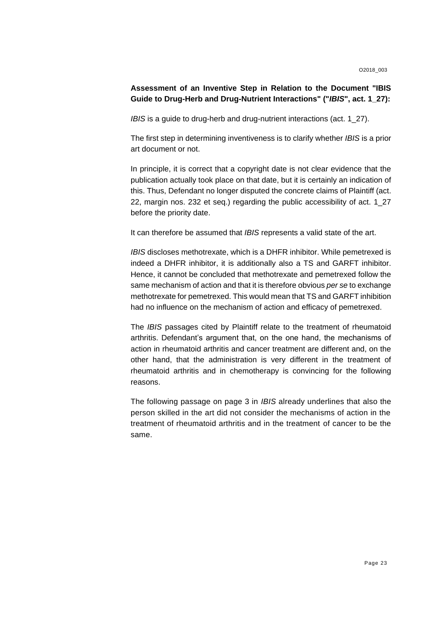# **Assessment of an Inventive Step in Relation to the Document "IBIS Guide to Drug-Herb and Drug-Nutrient Interactions" ("***IBIS***", act. 1\_27):**

*IBIS* is a guide to drug-herb and drug-nutrient interactions (act. 1\_27).

The first step in determining inventiveness is to clarify whether *IBIS* is a prior art document or not.

In principle, it is correct that a copyright date is not clear evidence that the publication actually took place on that date, but it is certainly an indication of this. Thus, Defendant no longer disputed the concrete claims of Plaintiff (act. 22, margin nos. 232 et seq.) regarding the public accessibility of act. 1\_27 before the priority date.

It can therefore be assumed that *IBIS* represents a valid state of the art.

*IBIS* discloses methotrexate, which is a DHFR inhibitor. While pemetrexed is indeed a DHFR inhibitor, it is additionally also a TS and GARFT inhibitor. Hence, it cannot be concluded that methotrexate and pemetrexed follow the same mechanism of action and that it is therefore obvious *per se* to exchange methotrexate for pemetrexed. This would mean that TS and GARFT inhibition had no influence on the mechanism of action and efficacy of pemetrexed.

The *IBIS* passages cited by Plaintiff relate to the treatment of rheumatoid arthritis. Defendant's argument that, on the one hand, the mechanisms of action in rheumatoid arthritis and cancer treatment are different and, on the other hand, that the administration is very different in the treatment of rheumatoid arthritis and in chemotherapy is convincing for the following reasons.

The following passage on page 3 in *IBIS* already underlines that also the person skilled in the art did not consider the mechanisms of action in the treatment of rheumatoid arthritis and in the treatment of cancer to be the same.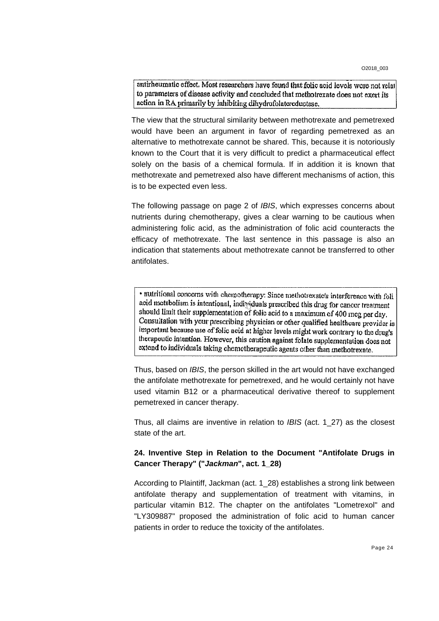antirheumatic effect. Most researchers have found that folic acid levels were not relate to parameters of disease activity and concluded that methotrexate does not exert its action in RA primarily by inhibiting dihydrofolatereductase.

The view that the structural similarity between methotrexate and pemetrexed would have been an argument in favor of regarding pemetrexed as an alternative to methotrexate cannot be shared. This, because it is notoriously known to the Court that it is very difficult to predict a pharmaceutical effect solely on the basis of a chemical formula. If in addition it is known that methotrexate and pemetrexed also have different mechanisms of action, this is to be expected even less.

The following passage on page 2 of *IBIS*, which expresses concerns about nutrients during chemotherapy, gives a clear warning to be cautious when administering folic acid, as the administration of folic acid counteracts the efficacy of methotrexate. The last sentence in this passage is also an indication that statements about methotrexate cannot be transferred to other antifolates.

· nutritional concerns with chemotherapy: Since methotrexate's interference with foli acid metabolism is intentional, individuals prescribed this drug for cancer treatment should limit their supplementation of folic acid to a maximum of 400 mcg per day. Consultation with your prescribing physician or other qualified healthcare provider is important because use of folic acid at higher levels might work contrary to the drug's therapeutic intention. However, this caution against folate supplementation does not extend to individuals taking chemotherapeutic agents other than methotrexate.

Thus, based on *IBIS*, the person skilled in the art would not have exchanged the antifolate methotrexate for pemetrexed, and he would certainly not have used vitamin B12 or a pharmaceutical derivative thereof to supplement pemetrexed in cancer therapy.

Thus, all claims are inventive in relation to *IBIS* (act. 1\_27) as the closest state of the art.

# **24. Inventive Step in Relation to the Document "Antifolate Drugs in Cancer Therapy" ("***Jackman***", act. 1\_28)**

According to Plaintiff, Jackman (act. 1\_28) establishes a strong link between antifolate therapy and supplementation of treatment with vitamins, in particular vitamin B12. The chapter on the antifolates "Lometrexol" and "LY309887" proposed the administration of folic acid to human cancer patients in order to reduce the toxicity of the antifolates.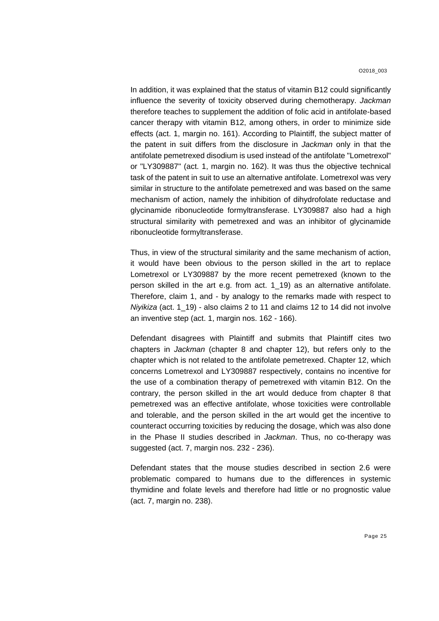In addition, it was explained that the status of vitamin B12 could significantly influence the severity of toxicity observed during chemotherapy. *Jackman* therefore teaches to supplement the addition of folic acid in antifolate-based cancer therapy with vitamin B12, among others, in order to minimize side effects (act. 1, margin no. 161). According to Plaintiff, the subject matter of the patent in suit differs from the disclosure in *Jackman* only in that the antifolate pemetrexed disodium is used instead of the antifolate "Lometrexol" or "LY309887" (act. 1, margin no. 162). It was thus the objective technical task of the patent in suit to use an alternative antifolate. Lometrexol was very similar in structure to the antifolate pemetrexed and was based on the same mechanism of action, namely the inhibition of dihydrofolate reductase and glycinamide ribonucleotide formyltransferase. LY309887 also had a high structural similarity with pemetrexed and was an inhibitor of glycinamide ribonucleotide formyltransferase.

Thus, in view of the structural similarity and the same mechanism of action, it would have been obvious to the person skilled in the art to replace Lometrexol or LY309887 by the more recent pemetrexed (known to the person skilled in the art e.g. from act. 1\_19) as an alternative antifolate. Therefore, claim 1, and - by analogy to the remarks made with respect to *Niyikiza* (act. 1\_19) - also claims 2 to 11 and claims 12 to 14 did not involve an inventive step (act. 1, margin nos. 162 - 166).

Defendant disagrees with Plaintiff and submits that Plaintiff cites two chapters in *Jackman* (chapter 8 and chapter 12), but refers only to the chapter which is not related to the antifolate pemetrexed. Chapter 12, which concerns Lometrexol and LY309887 respectively, contains no incentive for the use of a combination therapy of pemetrexed with vitamin B12. On the contrary, the person skilled in the art would deduce from chapter 8 that pemetrexed was an effective antifolate, whose toxicities were controllable and tolerable, and the person skilled in the art would get the incentive to counteract occurring toxicities by reducing the dosage, which was also done in the Phase II studies described in *Jackman*. Thus, no co-therapy was suggested (act. 7, margin nos. 232 - 236).

Defendant states that the mouse studies described in section 2.6 were problematic compared to humans due to the differences in systemic thymidine and folate levels and therefore had little or no prognostic value (act. 7, margin no. 238).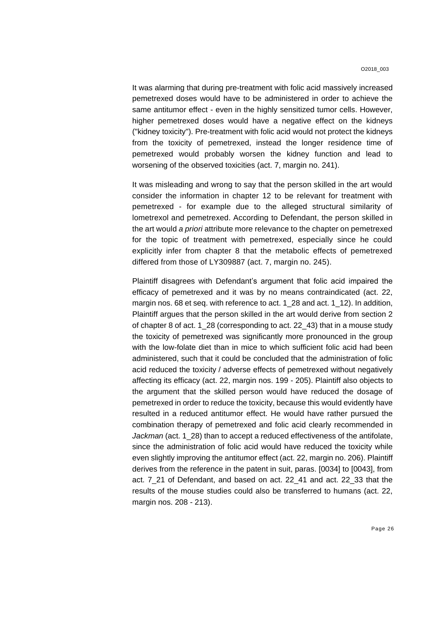It was alarming that during pre-treatment with folic acid massively increased pemetrexed doses would have to be administered in order to achieve the same antitumor effect - even in the highly sensitized tumor cells. However, higher pemetrexed doses would have a negative effect on the kidneys ("kidney toxicity"). Pre-treatment with folic acid would not protect the kidneys from the toxicity of pemetrexed, instead the longer residence time of pemetrexed would probably worsen the kidney function and lead to worsening of the observed toxicities (act. 7, margin no. 241).

It was misleading and wrong to say that the person skilled in the art would consider the information in chapter 12 to be relevant for treatment with pemetrexed - for example due to the alleged structural similarity of lometrexol and pemetrexed. According to Defendant, the person skilled in the art would *a priori* attribute more relevance to the chapter on pemetrexed for the topic of treatment with pemetrexed, especially since he could explicitly infer from chapter 8 that the metabolic effects of pemetrexed differed from those of LY309887 (act. 7, margin no. 245).

Plaintiff disagrees with Defendant's argument that folic acid impaired the efficacy of pemetrexed and it was by no means contraindicated (act. 22, margin nos. 68 et seq. with reference to act. 1\_28 and act. 1\_12). In addition, Plaintiff argues that the person skilled in the art would derive from section 2 of chapter 8 of act. 1\_28 (corresponding to act. 22\_43) that in a mouse study the toxicity of pemetrexed was significantly more pronounced in the group with the low-folate diet than in mice to which sufficient folic acid had been administered, such that it could be concluded that the administration of folic acid reduced the toxicity / adverse effects of pemetrexed without negatively affecting its efficacy (act. 22, margin nos. 199 - 205). Plaintiff also objects to the argument that the skilled person would have reduced the dosage of pemetrexed in order to reduce the toxicity, because this would evidently have resulted in a reduced antitumor effect. He would have rather pursued the combination therapy of pemetrexed and folic acid clearly recommended in *Jackman* (act. 1\_28) than to accept a reduced effectiveness of the antifolate, since the administration of folic acid would have reduced the toxicity while even slightly improving the antitumor effect (act. 22, margin no. 206). Plaintiff derives from the reference in the patent in suit, paras. [0034] to [0043], from act. 7\_21 of Defendant, and based on act. 22\_41 and act. 22\_33 that the results of the mouse studies could also be transferred to humans (act. 22, margin nos. 208 - 213).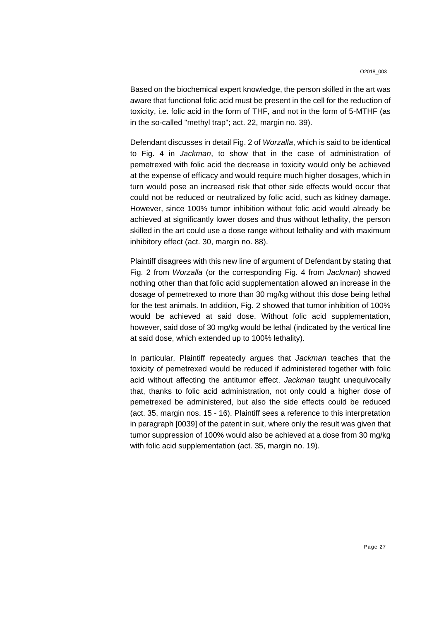Based on the biochemical expert knowledge, the person skilled in the art was aware that functional folic acid must be present in the cell for the reduction of toxicity, i.e. folic acid in the form of THF, and not in the form of 5-MTHF (as in the so-called "methyl trap"; act. 22, margin no. 39).

Defendant discusses in detail Fig. 2 of *Worzalla*, which is said to be identical to Fig. 4 in *Jackman*, to show that in the case of administration of pemetrexed with folic acid the decrease in toxicity would only be achieved at the expense of efficacy and would require much higher dosages, which in turn would pose an increased risk that other side effects would occur that could not be reduced or neutralized by folic acid, such as kidney damage. However, since 100% tumor inhibition without folic acid would already be achieved at significantly lower doses and thus without lethality, the person skilled in the art could use a dose range without lethality and with maximum inhibitory effect (act. 30, margin no. 88).

Plaintiff disagrees with this new line of argument of Defendant by stating that Fig. 2 from *Worzalla* (or the corresponding Fig. 4 from *Jackman*) showed nothing other than that folic acid supplementation allowed an increase in the dosage of pemetrexed to more than 30 mg/kg without this dose being lethal for the test animals. In addition, Fig. 2 showed that tumor inhibition of 100% would be achieved at said dose. Without folic acid supplementation, however, said dose of 30 mg/kg would be lethal (indicated by the vertical line at said dose, which extended up to 100% lethality).

In particular, Plaintiff repeatedly argues that *Jackman* teaches that the toxicity of pemetrexed would be reduced if administered together with folic acid without affecting the antitumor effect. *Jackman* taught unequivocally that, thanks to folic acid administration, not only could a higher dose of pemetrexed be administered, but also the side effects could be reduced (act. 35, margin nos. 15 - 16). Plaintiff sees a reference to this interpretation in paragraph [0039] of the patent in suit, where only the result was given that tumor suppression of 100% would also be achieved at a dose from 30 mg/kg with folic acid supplementation (act. 35, margin no. 19).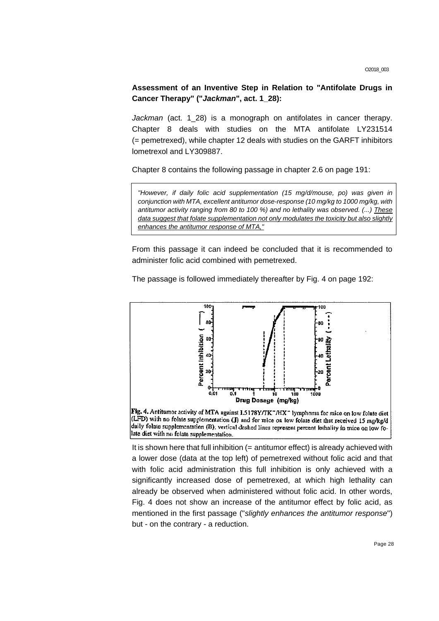**Assessment of an Inventive Step in Relation to "Antifolate Drugs in Cancer Therapy" ("***Jackman***", act. 1\_28):**

Jackman (act. 1\_28) is a monograph on antifolates in cancer therapy. Chapter 8 deals with studies on the MTA antifolate LY231514 (= pemetrexed), while chapter 12 deals with studies on the GARFT inhibitors lometrexol and LY309887.

Chapter 8 contains the following passage in chapter 2.6 on page 191:

*"However, if daily folic acid supplementation (15 mg/d/mouse, po) was given in conjunction with MTA, excellent antitumor dose-response (10 mg/kg to 1000 mg/kg, with antitumor activity ranging from 80 to 100 %) and no lethality was observed. (...) These data suggest that folate supplementation not only modulates the toxicity but also slightly enhances the antitumor response of MTA,"*

From this passage it can indeed be concluded that it is recommended to administer folic acid combined with pemetrexed.

The passage is followed immediately thereafter by Fig. 4 on page 192:



It is shown here that full inhibition  $(=$  antitumor effect) is already achieved with a lower dose (data at the top left) of pemetrexed without folic acid and that with folic acid administration this full inhibition is only achieved with a significantly increased dose of pemetrexed, at which high lethality can already be observed when administered without folic acid. In other words, Fig. 4 does not show an increase of the antitumor effect by folic acid, as mentioned in the first passage ("*slightly enhances the antitumor response*") but - on the contrary - a reduction.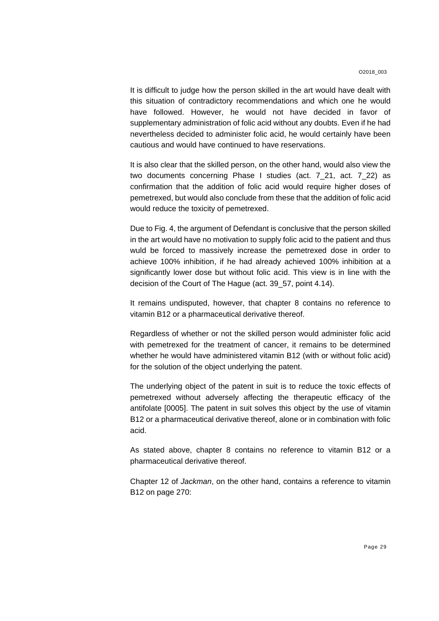It is difficult to judge how the person skilled in the art would have dealt with this situation of contradictory recommendations and which one he would have followed. However, he would not have decided in favor of supplementary administration of folic acid without any doubts. Even if he had nevertheless decided to administer folic acid, he would certainly have been cautious and would have continued to have reservations.

It is also clear that the skilled person, on the other hand, would also view the two documents concerning Phase I studies (act. 7\_21, act. 7\_22) as confirmation that the addition of folic acid would require higher doses of pemetrexed, but would also conclude from these that the addition of folic acid would reduce the toxicity of pemetrexed.

Due to Fig. 4, the argument of Defendant is conclusive that the person skilled in the art would have no motivation to supply folic acid to the patient and thus wuld be forced to massively increase the pemetrexed dose in order to achieve 100% inhibition, if he had already achieved 100% inhibition at a significantly lower dose but without folic acid. This view is in line with the decision of the Court of The Hague (act. 39\_57, point 4.14).

It remains undisputed, however, that chapter 8 contains no reference to vitamin B12 or a pharmaceutical derivative thereof.

Regardless of whether or not the skilled person would administer folic acid with pemetrexed for the treatment of cancer, it remains to be determined whether he would have administered vitamin B12 (with or without folic acid) for the solution of the object underlying the patent.

The underlying object of the patent in suit is to reduce the toxic effects of pemetrexed without adversely affecting the therapeutic efficacy of the antifolate [0005]. The patent in suit solves this object by the use of vitamin B12 or a pharmaceutical derivative thereof, alone or in combination with folic acid.

As stated above, chapter 8 contains no reference to vitamin B12 or a pharmaceutical derivative thereof.

Chapter 12 of *Jackman*, on the other hand, contains a reference to vitamin B12 on page 270: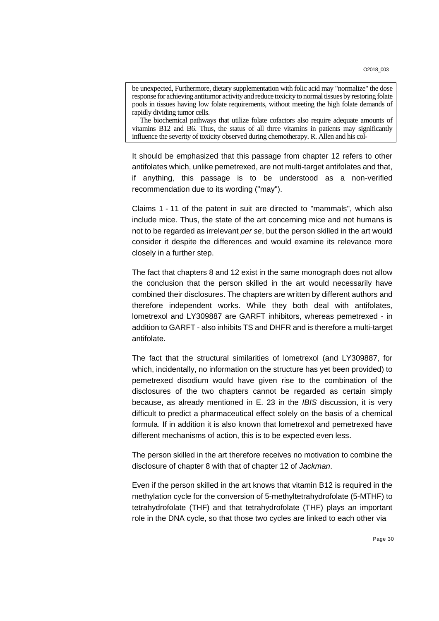be unexpected, Furthermore, dietary supplementation with folic acid may "normalize" the dose response for achieving antitumor activity and reduce toxicity to normal tissues by restoring folate pools in tissues having low folate requirements, without meeting the high folate demands of rapidly dividing tumor cells.

The biochemical pathways that utilize folate cofactors also require adequate amounts of vitamins B12 and B6. Thus, the status of all three vitamins in patients may significantly influence the severity of toxicity observed during chemotherapy. R. Allen and his col-

It should be emphasized that this passage from chapter 12 refers to other antifolates which, unlike pemetrexed, are not multi-target antifolates and that, if anything, this passage is to be understood as a non-verified recommendation due to its wording ("may").

Claims 1 - 11 of the patent in suit are directed to "mammals", which also include mice. Thus, the state of the art concerning mice and not humans is not to be regarded as irrelevant *per se*, but the person skilled in the art would consider it despite the differences and would examine its relevance more closely in a further step.

The fact that chapters 8 and 12 exist in the same monograph does not allow the conclusion that the person skilled in the art would necessarily have combined their disclosures. The chapters are written by different authors and therefore independent works. While they both deal with antifolates, lometrexol and LY309887 are GARFT inhibitors, whereas pemetrexed - in addition to GARFT - also inhibits TS and DHFR and is therefore a multi-target antifolate.

The fact that the structural similarities of lometrexol (and LY309887, for which, incidentally, no information on the structure has yet been provided) to pemetrexed disodium would have given rise to the combination of the disclosures of the two chapters cannot be regarded as certain simply because, as already mentioned in E. 23 in the *IBIS* discussion, it is very difficult to predict a pharmaceutical effect solely on the basis of a chemical formula. If in addition it is also known that lometrexol and pemetrexed have different mechanisms of action, this is to be expected even less.

The person skilled in the art therefore receives no motivation to combine the disclosure of chapter 8 with that of chapter 12 of *Jackman*.

Even if the person skilled in the art knows that vitamin B12 is required in the methylation cycle for the conversion of 5-methyltetrahydrofolate (5-MTHF) to tetrahydrofolate (THF) and that tetrahydrofolate (THF) plays an important role in the DNA cycle, so that those two cycles are linked to each other via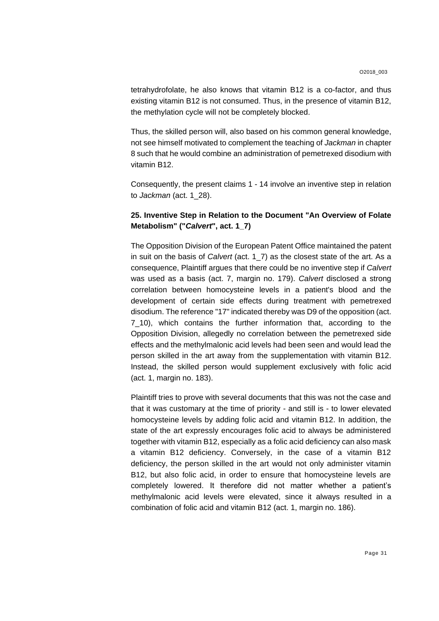tetrahydrofolate, he also knows that vitamin B12 is a co-factor, and thus existing vitamin B12 is not consumed. Thus, in the presence of vitamin B12, the methylation cycle will not be completely blocked.

Thus, the skilled person will, also based on his common general knowledge, not see himself motivated to complement the teaching of *Jackman* in chapter 8 such that he would combine an administration of pemetrexed disodium with vitamin B12.

Consequently, the present claims 1 - 14 involve an inventive step in relation to *Jackman* (act. 1\_28).

# **25. Inventive Step in Relation to the Document "An Overview of Folate Metabolism" ("***Calvert***", act. 1\_7)**

The Opposition Division of the European Patent Office maintained the patent in suit on the basis of *Calvert* (act. 1\_7) as the closest state of the art. As a consequence, Plaintiff argues that there could be no inventive step if *Calvert* was used as a basis (act. 7, margin no. 179). *Calvert* disclosed a strong correlation between homocysteine levels in a patient's blood and the development of certain side effects during treatment with pemetrexed disodium. The reference "17" indicated thereby was D9 of the opposition (act. 7\_10), which contains the further information that, according to the Opposition Division, allegedly no correlation between the pemetrexed side effects and the methylmalonic acid levels had been seen and would lead the person skilled in the art away from the supplementation with vitamin B12. Instead, the skilled person would supplement exclusively with folic acid (act. 1, margin no. 183).

Plaintiff tries to prove with several documents that this was not the case and that it was customary at the time of priority - and still is - to lower elevated homocysteine levels by adding folic acid and vitamin B12. In addition, the state of the art expressly encourages folic acid to always be administered together with vitamin B12, especially as a folic acid deficiency can also mask a vitamin B12 deficiency. Conversely, in the case of a vitamin B12 deficiency, the person skilled in the art would not only administer vitamin B12, but also folic acid, in order to ensure that homocysteine levels are completely lowered. It therefore did not matter whether a patient's methylmalonic acid levels were elevated, since it always resulted in a combination of folic acid and vitamin B12 (act. 1, margin no. 186).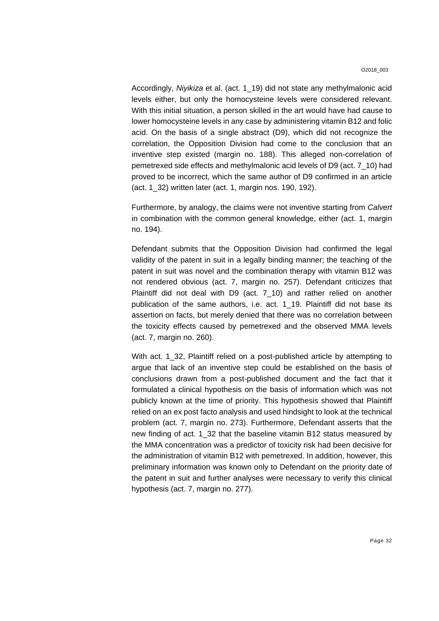Accordingly, *Niyikiza* et al. (act. 1\_19) did not state any methylmalonic acid levels either, but only the homocysteine levels were considered relevant. With this initial situation, a person skilled in the art would have had cause to lower homocysteine levels in any case by administering vitamin B12 and folic acid. On the basis of a single abstract (D9), which did not recognize the correlation, the Opposition Division had come to the conclusion that an inventive step existed (margin no. 188). This alleged non-correlation of pemetrexed side effects and methylmalonic acid levels of D9 (act. 7\_10) had proved to be incorrect, which the same author of D9 confirmed in an article (act. 1\_32) written later (act. 1, margin nos. 190, 192).

Furthermore, by analogy, the claims were not inventive starting from *Calvert* in combination with the common general knowledge, either (act. 1, margin no. 194).

Defendant submits that the Opposition Division had confirmed the legal validity of the patent in suit in a legally binding manner; the teaching of the patent in suit was novel and the combination therapy with vitamin B12 was not rendered obvious (act. 7, margin no. 257). Defendant criticizes that Plaintiff did not deal with D9 (act. 7\_10) and rather relied on another publication of the same authors, i.e. act. 1\_19. Plaintiff did not base its assertion on facts, but merely denied that there was no correlation between the toxicity effects caused by pemetrexed and the observed MMA levels (act. 7, margin no. 260).

With act. 1\_32, Plaintiff relied on a post-published article by attempting to argue that lack of an inventive step could be established on the basis of conclusions drawn from a post-published document and the fact that it formulated a clinical hypothesis on the basis of information which was not publicly known at the time of priority. This hypothesis showed that Plaintiff relied on an ex post facto analysis and used hindsight to look at the technical problem (act. 7, margin no. 273). Furthermore, Defendant asserts that the new finding of act. 1\_32 that the baseline vitamin B12 status measured by the MMA concentration was a predictor of toxicity risk had been decisive for the administration of vitamin B12 with pemetrexed. In addition, however, this preliminary information was known only to Defendant on the priority date of the patent in suit and further analyses were necessary to verify this clinical hypothesis (act. 7, margin no. 277).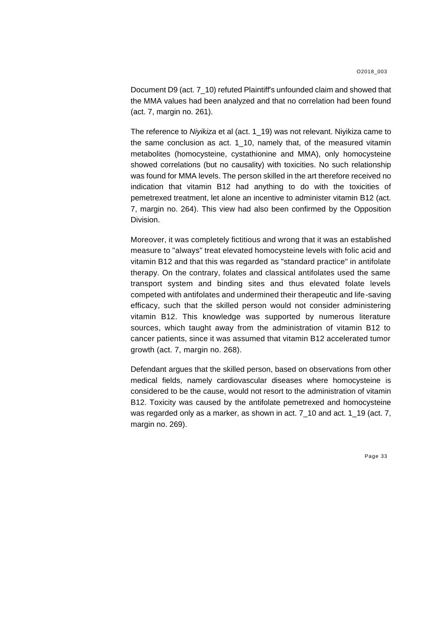Document D9 (act. 7\_10) refuted Plaintiff's unfounded claim and showed that the MMA values had been analyzed and that no correlation had been found (act. 7, margin no. 261).

The reference to *Niyikiza* et al (act. 1\_19) was not relevant. Niyikiza came to the same conclusion as act. 1\_10, namely that, of the measured vitamin metabolites (homocysteine, cystathionine and MMA), only homocysteine showed correlations (but no causality) with toxicities. No such relationship was found for MMA levels. The person skilled in the art therefore received no indication that vitamin B12 had anything to do with the toxicities of pemetrexed treatment, let alone an incentive to administer vitamin B12 (act. 7, margin no. 264). This view had also been confirmed by the Opposition Division.

Moreover, it was completely fictitious and wrong that it was an established measure to "always" treat elevated homocysteine levels with folic acid and vitamin B12 and that this was regarded as "standard practice" in antifolate therapy. On the contrary, folates and classical antifolates used the same transport system and binding sites and thus elevated folate levels competed with antifolates and undermined their therapeutic and life-saving efficacy, such that the skilled person would not consider administering vitamin B12. This knowledge was supported by numerous literature sources, which taught away from the administration of vitamin B12 to cancer patients, since it was assumed that vitamin B12 accelerated tumor growth (act. 7, margin no. 268).

Defendant argues that the skilled person, based on observations from other medical fields, namely cardiovascular diseases where homocysteine is considered to be the cause, would not resort to the administration of vitamin B12. Toxicity was caused by the antifolate pemetrexed and homocysteine was regarded only as a marker, as shown in act. 7\_10 and act. 1\_19 (act. 7, margin no. 269).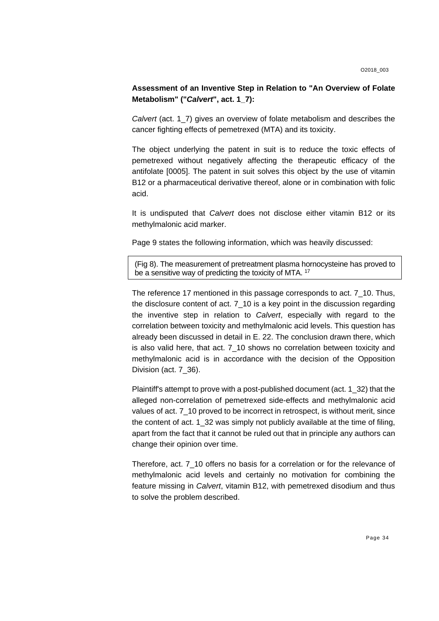## **Assessment of an Inventive Step in Relation to "An Overview of Folate Metabolism" ("***Calvert***", act. 1\_7):**

*Calvert* (act. 1\_7) gives an overview of folate metabolism and describes the cancer fighting effects of pemetrexed (MTA) and its toxicity.

The object underlying the patent in suit is to reduce the toxic effects of pemetrexed without negatively affecting the therapeutic efficacy of the antifolate [0005]. The patent in suit solves this object by the use of vitamin B12 or a pharmaceutical derivative thereof, alone or in combination with folic acid.

It is undisputed that *Calvert* does not disclose either vitamin B12 or its methylmalonic acid marker.

Page 9 states the following information, which was heavily discussed:

(Fig 8). The measurement of pretreatment plasma hornocysteine has proved to be a sensitive way of predicting the toxicity of MTA. <sup>17</sup>

The reference 17 mentioned in this passage corresponds to act. 7\_10. Thus, the disclosure content of act. 7\_10 is a key point in the discussion regarding the inventive step in relation to *Calvert*, especially with regard to the correlation between toxicity and methylmalonic acid levels. This question has already been discussed in detail in E. 22. The conclusion drawn there, which is also valid here, that act. 7\_10 shows no correlation between toxicity and methylmalonic acid is in accordance with the decision of the Opposition Division (act. 7\_36).

Plaintiff's attempt to prove with a post-published document (act. 1\_32) that the alleged non-correlation of pemetrexed side-effects and methylmalonic acid values of act. 7\_10 proved to be incorrect in retrospect, is without merit, since the content of act. 1\_32 was simply not publicly available at the time of filing, apart from the fact that it cannot be ruled out that in principle any authors can change their opinion over time.

Therefore, act. 7\_10 offers no basis for a correlation or for the relevance of methylmalonic acid levels and certainly no motivation for combining the feature missing in *Calvert*, vitamin B12, with pemetrexed disodium and thus to solve the problem described.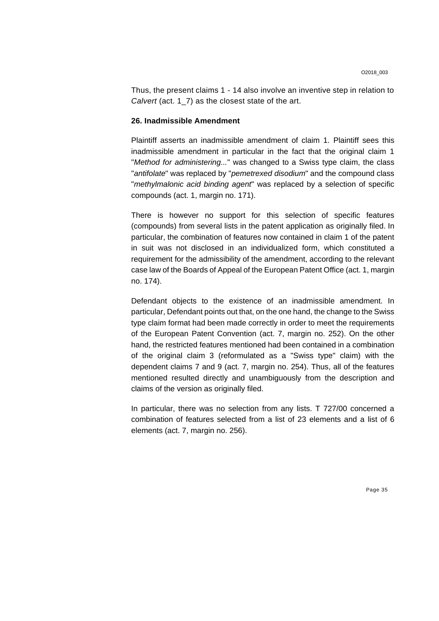Thus, the present claims 1 - 14 also involve an inventive step in relation to *Calvert* (act. 1\_7) as the closest state of the art.

#### **26. Inadmissible Amendment**

Plaintiff asserts an inadmissible amendment of claim 1. Plaintiff sees this inadmissible amendment in particular in the fact that the original claim 1 "*Method for administering...*" was changed to a Swiss type claim, the class "*antifolate*" was replaced by "*pemetrexed disodium*" and the compound class "*methylmalonic acid binding agent*" was replaced by a selection of specific compounds (act. 1, margin no. 171).

There is however no support for this selection of specific features (compounds) from several lists in the patent application as originally filed. In particular, the combination of features now contained in claim 1 of the patent in suit was not disclosed in an individualized form, which constituted a requirement for the admissibility of the amendment, according to the relevant case law of the Boards of Appeal of the European Patent Office (act. 1, margin no. 174).

Defendant objects to the existence of an inadmissible amendment. In particular, Defendant points out that, on the one hand, the change to the Swiss type claim format had been made correctly in order to meet the requirements of the European Patent Convention (act. 7, margin no. 252). On the other hand, the restricted features mentioned had been contained in a combination of the original claim 3 (reformulated as a "Swiss type" claim) with the dependent claims 7 and 9 (act. 7, margin no. 254). Thus, all of the features mentioned resulted directly and unambiguously from the description and claims of the version as originally filed.

In particular, there was no selection from any lists. T 727/00 concerned a combination of features selected from a list of 23 elements and a list of 6 elements (act. 7, margin no. 256).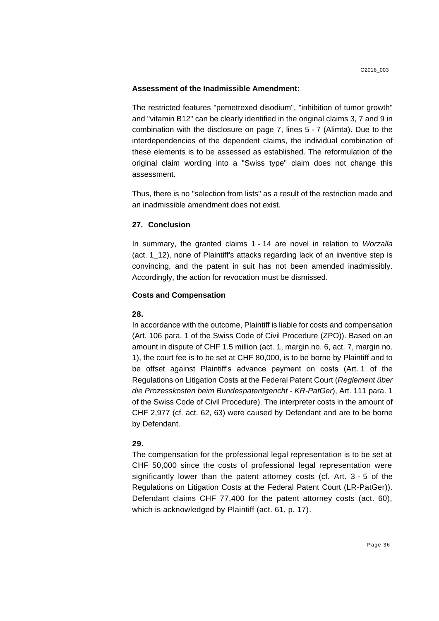#### **Assessment of the Inadmissible Amendment:**

The restricted features "pemetrexed disodium", "inhibition of tumor growth" and "vitamin B12" can be clearly identified in the original claims 3, 7 and 9 in combination with the disclosure on page 7, lines 5 - 7 (Alimta). Due to the interdependencies of the dependent claims, the individual combination of these elements is to be assessed as established. The reformulation of the original claim wording into a "Swiss type" claim does not change this assessment.

Thus, there is no "selection from lists" as a result of the restriction made and an inadmissible amendment does not exist.

## **27. Conclusion**

In summary, the granted claims 1 - 14 are novel in relation to *Worzalla* (act. 1\_12), none of Plaintiff's attacks regarding lack of an inventive step is convincing, and the patent in suit has not been amended inadmissibly. Accordingly, the action for revocation must be dismissed.

#### **Costs and Compensation**

#### **28.**

In accordance with the outcome, Plaintiff is liable for costs and compensation (Art. 106 para. 1 of the Swiss Code of Civil Procedure (ZPO)). Based on an amount in dispute of CHF 1.5 million (act. 1, margin no. 6, act. 7, margin no. 1), the court fee is to be set at CHF 80,000, is to be borne by Plaintiff and to be offset against Plaintiff's advance payment on costs (Art. 1 of the Regulations on Litigation Costs at the Federal Patent Court (*Reglement über die Prozesskosten beim Bundespatentgericht - KR-PatGer*), Art. 111 para. 1 of the Swiss Code of Civil Procedure). The interpreter costs in the amount of CHF 2,977 (cf. act. 62, 63) were caused by Defendant and are to be borne by Defendant.

## **29.**

The compensation for the professional legal representation is to be set at CHF 50,000 since the costs of professional legal representation were significantly lower than the patent attorney costs (cf. Art. 3 - 5 of the Regulations on Litigation Costs at the Federal Patent Court (LR-PatGer)). Defendant claims CHF 77,400 for the patent attorney costs (act. 60), which is acknowledged by Plaintiff (act. 61, p. 17).